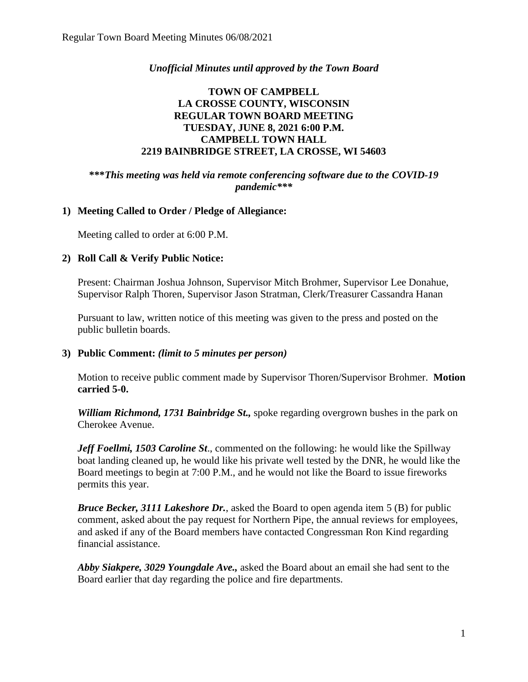### *Unofficial Minutes until approved by the Town Board*

### **TOWN OF CAMPBELL LA CROSSE COUNTY, WISCONSIN REGULAR TOWN BOARD MEETING TUESDAY, JUNE 8, 2021 6:00 P.M. CAMPBELL TOWN HALL 2219 BAINBRIDGE STREET, LA CROSSE, WI 54603**

**\*\*\****This meeting was held via remote conferencing software due to the COVID-19 pandemic\*\*\**

### **1) Meeting Called to Order / Pledge of Allegiance:**

Meeting called to order at 6:00 P.M.

#### **2) Roll Call & Verify Public Notice:**

Present: Chairman Joshua Johnson, Supervisor Mitch Brohmer, Supervisor Lee Donahue, Supervisor Ralph Thoren, Supervisor Jason Stratman, Clerk/Treasurer Cassandra Hanan

Pursuant to law, written notice of this meeting was given to the press and posted on the public bulletin boards.

#### **3) Public Comment:** *(limit to 5 minutes per person)*

Motion to receive public comment made by Supervisor Thoren/Supervisor Brohmer. **Motion carried 5-0.**

*William Richmond, 1731 Bainbridge St.,* spoke regarding overgrown bushes in the park on Cherokee Avenue.

*Jeff Foellmi, 1503 Caroline St*., commented on the following: he would like the Spillway boat landing cleaned up, he would like his private well tested by the DNR, he would like the Board meetings to begin at 7:00 P.M., and he would not like the Board to issue fireworks permits this year.

*Bruce Becker, 3111 Lakeshore Dr.*, asked the Board to open agenda item 5 (B) for public comment, asked about the pay request for Northern Pipe, the annual reviews for employees, and asked if any of the Board members have contacted Congressman Ron Kind regarding financial assistance.

*Abby Siakpere, 3029 Youngdale Ave.,* asked the Board about an email she had sent to the Board earlier that day regarding the police and fire departments.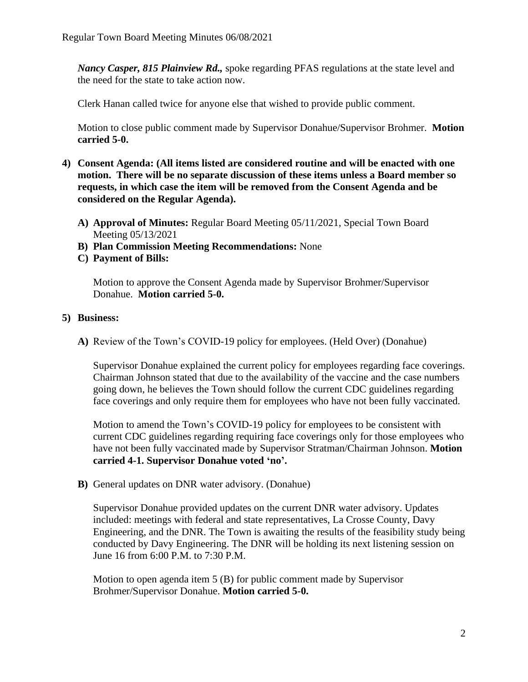*Nancy Casper, 815 Plainview Rd.,* spoke regarding PFAS regulations at the state level and the need for the state to take action now.

Clerk Hanan called twice for anyone else that wished to provide public comment.

Motion to close public comment made by Supervisor Donahue/Supervisor Brohmer. **Motion carried 5-0.**

- **4) Consent Agenda: (All items listed are considered routine and will be enacted with one motion. There will be no separate discussion of these items unless a Board member so requests, in which case the item will be removed from the Consent Agenda and be considered on the Regular Agenda).**
	- **A) Approval of Minutes:** Regular Board Meeting 05/11/2021, Special Town Board Meeting 05/13/2021
	- **B) Plan Commission Meeting Recommendations:** None
	- **C) Payment of Bills:**

Motion to approve the Consent Agenda made by Supervisor Brohmer/Supervisor Donahue. **Motion carried 5-0.** 

### **5) Business:**

**A)** Review of the Town's COVID-19 policy for employees. (Held Over) (Donahue)

Supervisor Donahue explained the current policy for employees regarding face coverings. Chairman Johnson stated that due to the availability of the vaccine and the case numbers going down, he believes the Town should follow the current CDC guidelines regarding face coverings and only require them for employees who have not been fully vaccinated.

Motion to amend the Town's COVID-19 policy for employees to be consistent with current CDC guidelines regarding requiring face coverings only for those employees who have not been fully vaccinated made by Supervisor Stratman/Chairman Johnson. **Motion carried 4-1. Supervisor Donahue voted 'no'.** 

**B)** General updates on DNR water advisory. (Donahue)

Supervisor Donahue provided updates on the current DNR water advisory. Updates included: meetings with federal and state representatives, La Crosse County, Davy Engineering, and the DNR. The Town is awaiting the results of the feasibility study being conducted by Davy Engineering. The DNR will be holding its next listening session on June 16 from 6:00 P.M. to 7:30 P.M.

Motion to open agenda item 5 (B) for public comment made by Supervisor Brohmer/Supervisor Donahue. **Motion carried 5-0.**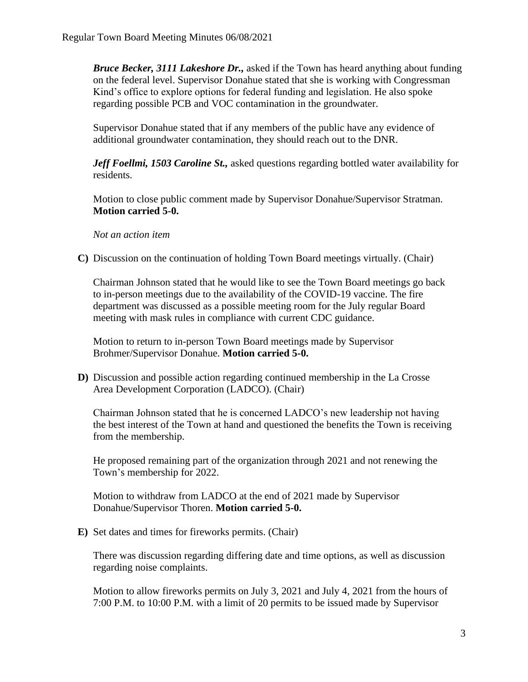*Bruce Becker, 3111 Lakeshore Dr.,* asked if the Town has heard anything about funding on the federal level. Supervisor Donahue stated that she is working with Congressman Kind's office to explore options for federal funding and legislation. He also spoke regarding possible PCB and VOC contamination in the groundwater.

Supervisor Donahue stated that if any members of the public have any evidence of additional groundwater contamination, they should reach out to the DNR.

*Jeff Foellmi, 1503 Caroline St.,* asked questions regarding bottled water availability for residents.

Motion to close public comment made by Supervisor Donahue/Supervisor Stratman. **Motion carried 5-0.**

*Not an action item*

**C)** Discussion on the continuation of holding Town Board meetings virtually. (Chair)

Chairman Johnson stated that he would like to see the Town Board meetings go back to in-person meetings due to the availability of the COVID-19 vaccine. The fire department was discussed as a possible meeting room for the July regular Board meeting with mask rules in compliance with current CDC guidance.

Motion to return to in-person Town Board meetings made by Supervisor Brohmer/Supervisor Donahue. **Motion carried 5-0.**

**D)** Discussion and possible action regarding continued membership in the La Crosse Area Development Corporation (LADCO). (Chair)

Chairman Johnson stated that he is concerned LADCO's new leadership not having the best interest of the Town at hand and questioned the benefits the Town is receiving from the membership.

He proposed remaining part of the organization through 2021 and not renewing the Town's membership for 2022.

Motion to withdraw from LADCO at the end of 2021 made by Supervisor Donahue/Supervisor Thoren. **Motion carried 5-0.**

**E)** Set dates and times for fireworks permits. (Chair)

There was discussion regarding differing date and time options, as well as discussion regarding noise complaints.

Motion to allow fireworks permits on July 3, 2021 and July 4, 2021 from the hours of 7:00 P.M. to 10:00 P.M. with a limit of 20 permits to be issued made by Supervisor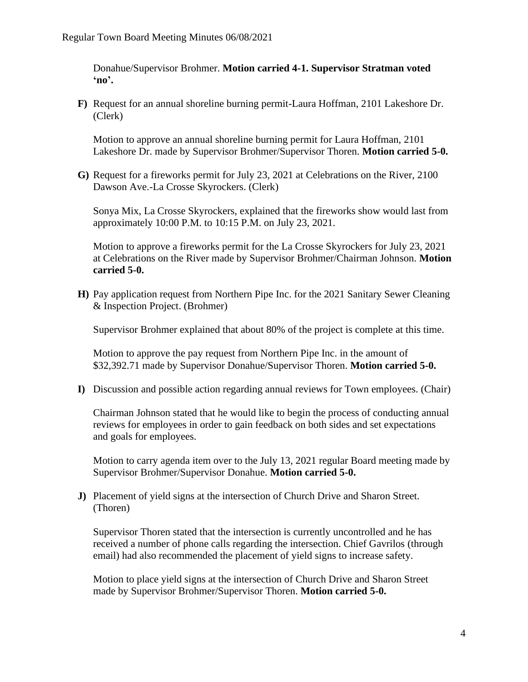Donahue/Supervisor Brohmer. **Motion carried 4-1. Supervisor Stratman voted 'no'.** 

**F)** Request for an annual shoreline burning permit-Laura Hoffman, 2101 Lakeshore Dr. (Clerk)

Motion to approve an annual shoreline burning permit for Laura Hoffman, 2101 Lakeshore Dr. made by Supervisor Brohmer/Supervisor Thoren. **Motion carried 5-0.**

**G)** Request for a fireworks permit for July 23, 2021 at Celebrations on the River, 2100 Dawson Ave.-La Crosse Skyrockers. (Clerk)

Sonya Mix, La Crosse Skyrockers, explained that the fireworks show would last from approximately 10:00 P.M. to 10:15 P.M. on July 23, 2021.

Motion to approve a fireworks permit for the La Crosse Skyrockers for July 23, 2021 at Celebrations on the River made by Supervisor Brohmer/Chairman Johnson. **Motion carried 5-0.** 

**H)** Pay application request from Northern Pipe Inc. for the 2021 Sanitary Sewer Cleaning & Inspection Project. (Brohmer)

Supervisor Brohmer explained that about 80% of the project is complete at this time.

Motion to approve the pay request from Northern Pipe Inc. in the amount of \$32,392.71 made by Supervisor Donahue/Supervisor Thoren. **Motion carried 5-0.**

**I)** Discussion and possible action regarding annual reviews for Town employees. (Chair)

Chairman Johnson stated that he would like to begin the process of conducting annual reviews for employees in order to gain feedback on both sides and set expectations and goals for employees.

Motion to carry agenda item over to the July 13, 2021 regular Board meeting made by Supervisor Brohmer/Supervisor Donahue. **Motion carried 5-0.** 

**J)** Placement of yield signs at the intersection of Church Drive and Sharon Street. (Thoren)

Supervisor Thoren stated that the intersection is currently uncontrolled and he has received a number of phone calls regarding the intersection. Chief Gavrilos (through email) had also recommended the placement of yield signs to increase safety.

Motion to place yield signs at the intersection of Church Drive and Sharon Street made by Supervisor Brohmer/Supervisor Thoren. **Motion carried 5-0.**